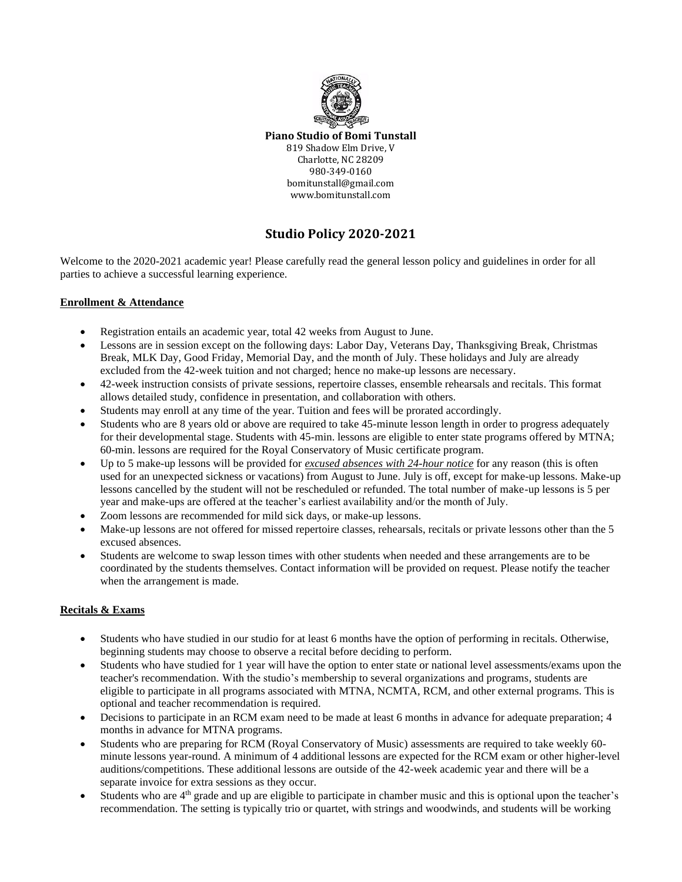

**Piano Studio of Bomi Tunstall** 819 Shadow Elm Drive, V Charlotte, NC 28209 980-349-0160 bomitunstall@gmail.com www.bomitunstall.com

# **Studio Policy 2020-2021**

Welcome to the 2020-2021 academic year! Please carefully read the general lesson policy and guidelines in order for all parties to achieve a successful learning experience.

# **Enrollment & Attendance**

- Registration entails an academic year, total 42 weeks from August to June.
- Lessons are in session except on the following days: Labor Day, Veterans Day, Thanksgiving Break, Christmas Break, MLK Day, Good Friday, Memorial Day, and the month of July. These holidays and July are already excluded from the 42-week tuition and not charged; hence no make-up lessons are necessary.
- 42-week instruction consists of private sessions, repertoire classes, ensemble rehearsals and recitals. This format allows detailed study, confidence in presentation, and collaboration with others.
- Students may enroll at any time of the year. Tuition and fees will be prorated accordingly.
- Students who are 8 years old or above are required to take 45-minute lesson length in order to progress adequately for their developmental stage. Students with 45-min. lessons are eligible to enter state programs offered by MTNA; 60-min. lessons are required for the Royal Conservatory of Music certificate program.
- Up to 5 make-up lessons will be provided for *excused absences with 24-hour notice* for any reason (this is often used for an unexpected sickness or vacations) from August to June. July is off, except for make-up lessons. Make-up lessons cancelled by the student will not be rescheduled or refunded. The total number of make-up lessons is 5 per year and make-ups are offered at the teacher's earliest availability and/or the month of July.
- Zoom lessons are recommended for mild sick days, or make-up lessons.
- Make-up lessons are not offered for missed repertoire classes, rehearsals, recitals or private lessons other than the 5 excused absences.
- Students are welcome to swap lesson times with other students when needed and these arrangements are to be coordinated by the students themselves. Contact information will be provided on request. Please notify the teacher when the arrangement is made.

# **Recitals & Exams**

- Students who have studied in our studio for at least 6 months have the option of performing in recitals. Otherwise, beginning students may choose to observe a recital before deciding to perform.
- Students who have studied for 1 year will have the option to enter state or national level assessments/exams upon the teacher's recommendation. With the studio's membership to several organizations and programs, students are eligible to participate in all programs associated with MTNA, NCMTA, RCM, and other external programs. This is optional and teacher recommendation is required.
- Decisions to participate in an RCM exam need to be made at least 6 months in advance for adequate preparation; 4 months in advance for MTNA programs.
- Students who are preparing for RCM (Royal Conservatory of Music) assessments are required to take weekly 60 minute lessons year-round. A minimum of 4 additional lessons are expected for the RCM exam or other higher-level auditions/competitions. These additional lessons are outside of the 42-week academic year and there will be a separate invoice for extra sessions as they occur.
- Students who are  $4<sup>th</sup>$  grade and up are eligible to participate in chamber music and this is optional upon the teacher's recommendation. The setting is typically trio or quartet, with strings and woodwinds, and students will be working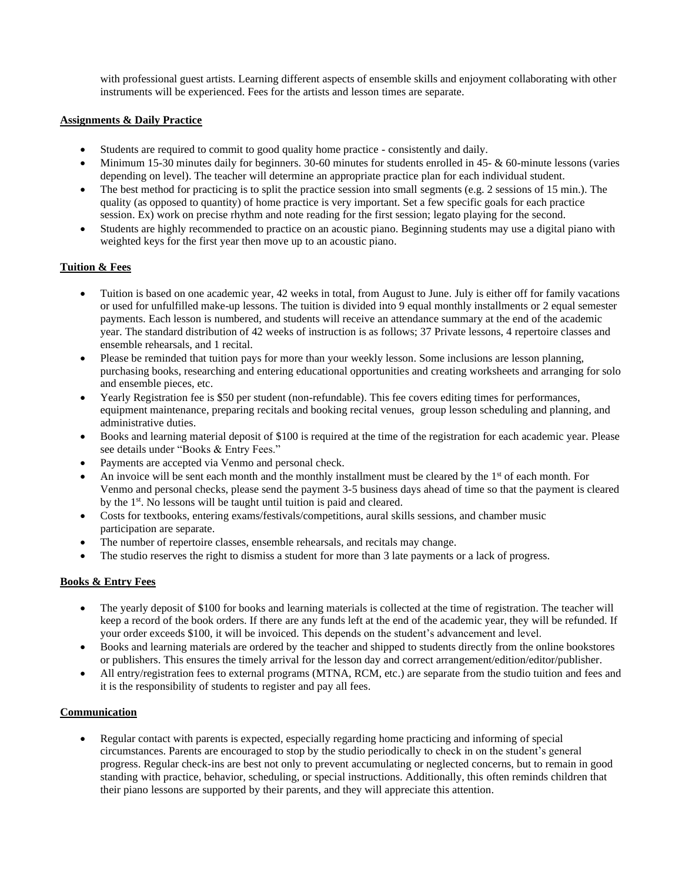with professional guest artists. Learning different aspects of ensemble skills and enjoyment collaborating with other instruments will be experienced. Fees for the artists and lesson times are separate.

# **Assignments & Daily Practice**

- Students are required to commit to good quality home practice consistently and daily.
- Minimum 15-30 minutes daily for beginners. 30-60 minutes for students enrolled in 45- & 60-minute lessons (varies depending on level). The teacher will determine an appropriate practice plan for each individual student.
- The best method for practicing is to split the practice session into small segments (e.g. 2 sessions of 15 min.). The quality (as opposed to quantity) of home practice is very important. Set a few specific goals for each practice session. Ex) work on precise rhythm and note reading for the first session; legato playing for the second.
- Students are highly recommended to practice on an acoustic piano. Beginning students may use a digital piano with weighted keys for the first year then move up to an acoustic piano.

# **Tuition & Fees**

- Tuition is based on one academic year, 42 weeks in total, from August to June. July is either off for family vacations or used for unfulfilled make-up lessons. The tuition is divided into 9 equal monthly installments or 2 equal semester payments. Each lesson is numbered, and students will receive an attendance summary at the end of the academic year. The standard distribution of 42 weeks of instruction is as follows; 37 Private lessons, 4 repertoire classes and ensemble rehearsals, and 1 recital.
- Please be reminded that tuition pays for more than your weekly lesson. Some inclusions are lesson planning, purchasing books, researching and entering educational opportunities and creating worksheets and arranging for solo and ensemble pieces, etc.
- Yearly Registration fee is \$50 per student (non-refundable). This fee covers editing times for performances, equipment maintenance, preparing recitals and booking recital venues, group lesson scheduling and planning, and administrative duties.
- Books and learning material deposit of \$100 is required at the time of the registration for each academic year. Please see details under "Books & Entry Fees."
- Payments are accepted via Venmo and personal check.
- An invoice will be sent each month and the monthly installment must be cleared by the  $1<sup>st</sup>$  of each month. For Venmo and personal checks, please send the payment 3-5 business days ahead of time so that the payment is cleared by the 1<sup>st</sup>. No lessons will be taught until tuition is paid and cleared.
- Costs for textbooks, entering exams/festivals/competitions, aural skills sessions, and chamber music participation are separate.
- The number of repertoire classes, ensemble rehearsals, and recitals may change.
- The studio reserves the right to dismiss a student for more than 3 late payments or a lack of progress.

#### **Books & Entry Fees**

- The yearly deposit of \$100 for books and learning materials is collected at the time of registration. The teacher will keep a record of the book orders. If there are any funds left at the end of the academic year, they will be refunded. If your order exceeds \$100, it will be invoiced. This depends on the student's advancement and level.
- Books and learning materials are ordered by the teacher and shipped to students directly from the online bookstores or publishers. This ensures the timely arrival for the lesson day and correct arrangement/edition/editor/publisher.
- All entry/registration fees to external programs (MTNA, RCM, etc.) are separate from the studio tuition and fees and it is the responsibility of students to register and pay all fees.

# **Communication**

• Regular contact with parents is expected, especially regarding home practicing and informing of special circumstances. Parents are encouraged to stop by the studio periodically to check in on the student's general progress. Regular check-ins are best not only to prevent accumulating or neglected concerns, but to remain in good standing with practice, behavior, scheduling, or special instructions. Additionally, this often reminds children that their piano lessons are supported by their parents, and they will appreciate this attention.